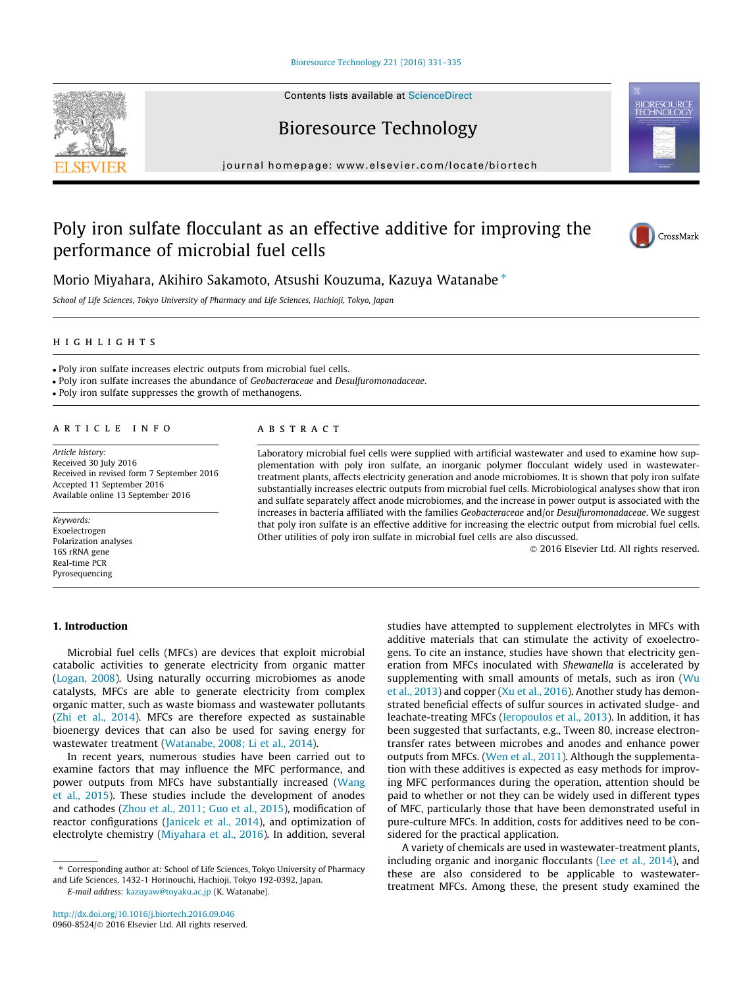[Bioresource Technology 221 \(2016\) 331–335](http://dx.doi.org/10.1016/j.biortech.2016.09.046)

# Bioresource Technology

journal homepage: [www.elsevier.com/locate/biortech](http://www.elsevier.com/locate/biortech)

# Poly iron sulfate flocculant as an effective additive for improving the performance of microbial fuel cells



Morio Miyahara, Akihiro Sakamoto, Atsushi Kouzuma, Kazuya Watanabe ⇑

School of Life Sciences, Tokyo University of Pharmacy and Life Sciences, Hachioji, Tokyo, Japan

highlights are the second control of the second control of the second control of the second control of the second control of the second control of the second control of the second control of the second control of the secon

Poly iron sulfate increases electric outputs from microbial fuel cells.

Poly iron sulfate increases the abundance of Geobacteraceae and Desulfuromonadaceae.

Poly iron sulfate suppresses the growth of methanogens.

Article history: Received 30 July 2016 Received in revised form 7 September 2016 Accepted 11 September 2016 Available online 13 September 2016

Keywords: Exoelectrogen Polarization analyses 16S rRNA gene Real-time PCR Pyrosequencing

Laboratory microbial fuel cells were supplied with artificial wastewater and used to examine how supplementation with poly iron sulfate, an inorganic polymer flocculant widely used in wastewatertreatment plants, affects electricity generation and anode microbiomes. It is shown that poly iron sulfate substantially increases electric outputs from microbial fuel cells. Microbiological analyses show that iron and sulfate separately affect anode microbiomes, and the increase in power output is associated with the increases in bacteria affiliated with the families Geobacteraceae and/or Desulfuromonadaceae. We suggest that poly iron sulfate is an effective additive for increasing the electric output from microbial fuel cells. Other utilities of poly iron sulfate in microbial fuel cells are also discussed.

2016 Elsevier Ltd. All rights reserved.

## 1. Introduction

Microbial fuel cells (MFCs) are devices that exploit microbial catabolic activities to generate electricity from organic matter ([Logan, 2008\)](#page--1-0). Using naturally occurring microbiomes as anode catalysts, MFCs are able to generate electricity from complex organic matter, such as waste biomass and wastewater pollutants ([Zhi et al., 2014\)](#page--1-0). MFCs are therefore expected as sustainable bioenergy devices that can also be used for saving energy for wastewater treatment ([Watanabe, 2008; Li et al., 2014](#page--1-0)).

In recent years, numerous studies have been carried out to examine factors that may influence the MFC performance, and power outputs from MFCs have substantially increased [\(Wang](#page--1-0) [et al., 2015\)](#page--1-0). These studies include the development of anodes and cathodes ([Zhou et al., 2011; Guo et al., 2015](#page--1-0)), modification of reactor configurations ([Janicek et al., 2014](#page--1-0)), and optimization of electrolyte chemistry ([Miyahara et al., 2016\)](#page--1-0). In addition, several

⇑ Corresponding author at: School of Life Sciences, Tokyo University of Pharmacy and Life Sciences, 1432-1 Horinouchi, Hachioji, Tokyo 192-0392, Japan.

E-mail address: [kazuyaw@toyaku.ac.jp](mailto:kazuyaw@toyaku.ac.jp) (K. Watanabe).

studies have attempted to supplement electrolytes in MFCs with additive materials that can stimulate the activity of exoelectrogens. To cite an instance, studies have shown that electricity generation from MFCs inoculated with Shewanella is accelerated by supplementing with small amounts of metals, such as iron [\(Wu](#page--1-0) [et al., 2013](#page--1-0)) and copper ([Xu et al., 2016](#page--1-0)). Another study has demonstrated beneficial effects of sulfur sources in activated sludge- and leachate-treating MFCs [\(Ieropoulos et al., 2013\)](#page--1-0). In addition, it has been suggested that surfactants, e.g., Tween 80, increase electrontransfer rates between microbes and anodes and enhance power outputs from MFCs. ([Wen et al., 2011\)](#page--1-0). Although the supplementation with these additives is expected as easy methods for improving MFC performances during the operation, attention should be paid to whether or not they can be widely used in different types of MFC, particularly those that have been demonstrated useful in pure-culture MFCs. In addition, costs for additives need to be considered for the practical application.

A variety of chemicals are used in wastewater-treatment plants, including organic and inorganic flocculants ([Lee et al., 2014\)](#page--1-0), and these are also considered to be applicable to wastewatertreatment MFCs. Among these, the present study examined the

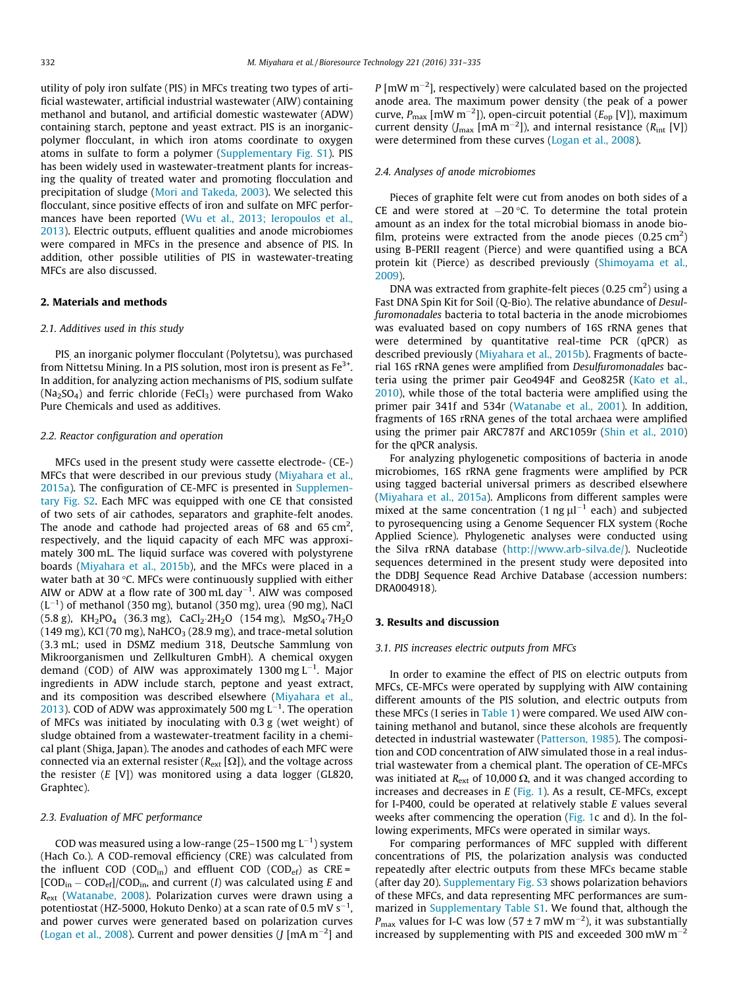utility of poly iron sulfate (PIS) in MFCs treating two types of artificial wastewater, artificial industrial wastewater (AIW) containing methanol and butanol, and artificial domestic wastewater (ADW) containing starch, peptone and yeast extract. PIS is an inorganicpolymer flocculant, in which iron atoms coordinate to oxygen atoms in sulfate to form a polymer (Supplementary Fig. S1). PIS has been widely used in wastewater-treatment plants for increasing the quality of treated water and promoting flocculation and precipitation of sludge ([Mori and Takeda, 2003\)](#page--1-0). We selected this flocculant, since positive effects of iron and sulfate on MFC performances have been reported ([Wu et al., 2013; Ieropoulos et al.,](#page--1-0) [2013\)](#page--1-0). Electric outputs, effluent qualities and anode microbiomes were compared in MFCs in the presence and absence of PIS. In addition, other possible utilities of PIS in wastewater-treating MFCs are also discussed.

### 2. Materials and methods

#### 2.1. Additives used in this study

PIS, an inorganic polymer flocculant (Polytetsu), was purchased from Nittetsu Mining. In a PIS solution, most iron is present as  $Fe<sup>3+</sup>$ . In addition, for analyzing action mechanisms of PIS, sodium sulfate  $(Na<sub>2</sub>SO<sub>4</sub>)$  and ferric chloride (FeCl<sub>3</sub>) were purchased from Wako Pure Chemicals and used as additives.

#### 2.2. Reactor configuration and operation

MFCs used in the present study were cassette electrode- (CE-) MFCs that were described in our previous study [\(Miyahara et al.,](#page--1-0) [2015a\)](#page--1-0). The configuration of CE-MFC is presented in Supplementary Fig. S2. Each MFC was equipped with one CE that consisted of two sets of air cathodes, separators and graphite-felt anodes. The anode and cathode had projected areas of 68 and 65 cm<sup>2</sup>, respectively, and the liquid capacity of each MFC was approximately 300 mL. The liquid surface was covered with polystyrene boards ([Miyahara et al., 2015b\)](#page--1-0), and the MFCs were placed in a water bath at 30 °C. MFCs were continuously supplied with either AIW or ADW at a flow rate of 300 mL day $^{-1}$ . AIW was composed  $(L^{-1})$  of methanol (350 mg), butanol (350 mg), urea (90 mg), NaCl  $(5.8 \text{ g})$ , KH<sub>2</sub>PO<sub>4</sub> (36.3 mg), CaCl<sub>2</sub>.2H<sub>2</sub>O (154 mg), MgSO<sub>4</sub>.7H<sub>2</sub>O (149 mg), KCl (70 mg), NaHCO<sub>3</sub> (28.9 mg), and trace-metal solution (3.3 mL; used in DSMZ medium 318, Deutsche Sammlung von Mikroorganismen und Zellkulturen GmbH). A chemical oxygen demand (COD) of AIW was approximately 1300 mg L<sup>-1</sup>. Major ingredients in ADW include starch, peptone and yeast extract, and its composition was described elsewhere [\(Miyahara et al.,](#page--1-0) [2013\)](#page--1-0). COD of ADW was approximately 500 mg  $L^{-1}$ . The operation of MFCs was initiated by inoculating with 0.3 g (wet weight) of sludge obtained from a wastewater-treatment facility in a chemical plant (Shiga, Japan). The anodes and cathodes of each MFC were connected via an external resister ( $R_{ext}$  [ $\Omega$ ]), and the voltage across the resister  $(E |V|)$  was monitored using a data logger (GL820, Graphtec).

#### 2.3. Evaluation of MFC performance

COD was measured using a low-range (25–1500 mg  $L^{-1}$ ) system (Hach Co.). A COD-removal efficiency (CRE) was calculated from the influent COD (COD<sub>in</sub>) and effluent COD (COD<sub>ef</sub>) as  $CRE =$  $[COD<sub>in</sub> - COD<sub>ef</sub>]/COD<sub>in</sub>$ , and current (I) was calculated using E and Rext [\(Watanabe, 2008\)](#page--1-0). Polarization curves were drawn using a potentiostat (HZ-5000, Hokuto Denko) at a scan rate of 0.5 mV  $s^{-1}$ , and power curves were generated based on polarization curves ([Logan et al., 2008](#page--1-0)). Current and power densities (J [mA m<sup>-2</sup>] and

 $P$  [mW m<sup>-2</sup>], respectively) were calculated based on the projected anode area. The maximum power density (the peak of a power curve,  $P_{\text{max}}$  [mW m<sup>-2</sup>]), open-circuit potential ( $E_{\text{op}}$  [V]), maximum current density ( $J_{\text{max}}$  [mA m<sup>-2</sup>]), and internal resistance ( $R_{\text{int}}$  [V]) were determined from these curves ([Logan et al., 2008\)](#page--1-0).

#### 2.4. Analyses of anode microbiomes

Pieces of graphite felt were cut from anodes on both sides of a CE and were stored at  $-20$  °C. To determine the total protein amount as an index for the total microbial biomass in anode biofilm, proteins were extracted from the anode pieces  $(0.25 \text{ cm}^2)$ using B-PERII reagent (Pierce) and were quantified using a BCA protein kit (Pierce) as described previously ([Shimoyama et al.,](#page--1-0) [2009\)](#page--1-0).

DNA was extracted from graphite-felt pieces  $(0.25 \text{ cm}^2)$  using a Fast DNA Spin Kit for Soil (Q-Bio). The relative abundance of Desulfuromonadales bacteria to total bacteria in the anode microbiomes was evaluated based on copy numbers of 16S rRNA genes that were determined by quantitative real-time PCR (qPCR) as described previously [\(Miyahara et al., 2015b\)](#page--1-0). Fragments of bacterial 16S rRNA genes were amplified from Desulfuromonadales bacteria using the primer pair Geo494F and Geo825R [\(Kato et al.,](#page--1-0) [2010\)](#page--1-0), while those of the total bacteria were amplified using the primer pair 341f and 534r [\(Watanabe et al., 2001](#page--1-0)). In addition, fragments of 16S rRNA genes of the total archaea were amplified using the primer pair ARC787f and ARC1059r [\(Shin et al., 2010\)](#page--1-0) for the qPCR analysis.

For analyzing phylogenetic compositions of bacteria in anode microbiomes, 16S rRNA gene fragments were amplified by PCR using tagged bacterial universal primers as described elsewhere ([Miyahara et al., 2015a](#page--1-0)). Amplicons from different samples were mixed at the same concentration (1 ng  $\mu$ l<sup>-1</sup> each) and subjected to pyrosequencing using a Genome Sequencer FLX system (Roche Applied Science). Phylogenetic analyses were conducted using the Silva rRNA database (<http://www.arb-silva.de/>). Nucleotide sequences determined in the present study were deposited into the DDBJ Sequence Read Archive Database (accession numbers: DRA004918).

## 3. Results and discussion

#### 3.1. PIS increases electric outputs from MFCs

In order to examine the effect of PIS on electric outputs from MFCs, CE-MFCs were operated by supplying with AIW containing different amounts of the PIS solution, and electric outputs from these MFCs (I series in [Table 1\)](#page--1-0) were compared. We used AIW containing methanol and butanol, since these alcohols are frequently detected in industrial wastewater [\(Patterson, 1985](#page--1-0)). The composition and COD concentration of AIW simulated those in a real industrial wastewater from a chemical plant. The operation of CE-MFCs was initiated at  $R_{ext}$  of 10,000  $\Omega$ , and it was changed according to increases and decreases in  $E$  [\(Fig. 1\)](#page--1-0). As a result, CE-MFCs, except for I-P400, could be operated at relatively stable  $E$  values several weeks after commencing the operation [\(Fig. 1c](#page--1-0) and d). In the following experiments, MFCs were operated in similar ways.

For comparing performances of MFC suppled with different concentrations of PIS, the polarization analysis was conducted repeatedly after electric outputs from these MFCs became stable (after day 20). Supplementary Fig. S3 shows polarization behaviors of these MFCs, and data representing MFC performances are summarized in Supplementary Table S1. We found that, although the  $P_{\text{max}}$  values for I-C was low (57 ± 7 mW m<sup>-2</sup>), it was substantially increased by supplementing with PIS and exceeded 300 mW  $m^{-2}$